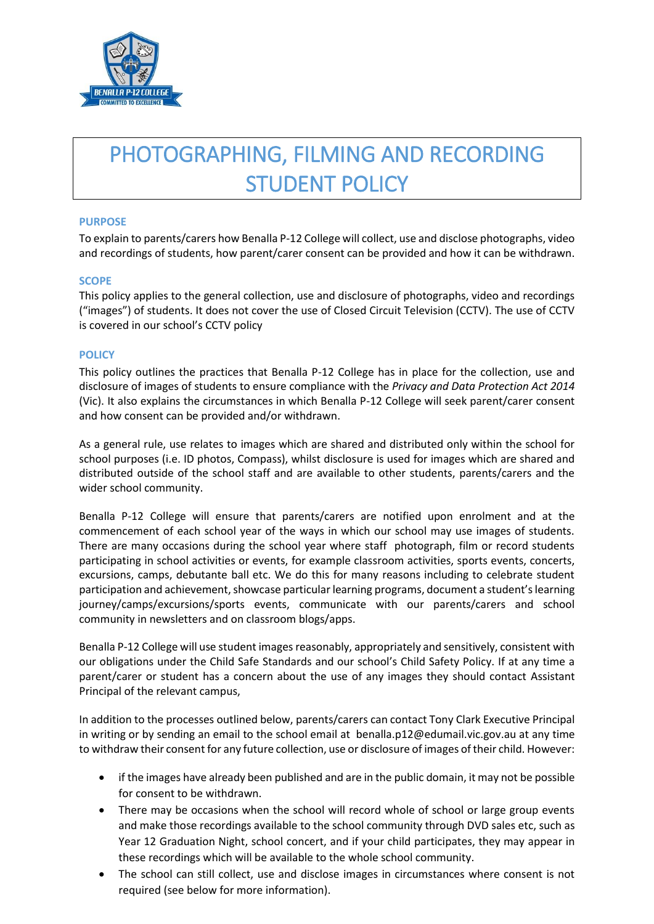

# PHOTOGRAPHING, FILMING AND RECORDING STUDENT POLICY

#### **PURPOSE**

To explain to parents/carers how Benalla P-12 College will collect, use and disclose photographs, video and recordings of students, how parent/carer consent can be provided and how it can be withdrawn.

#### **SCOPE**

This policy applies to the general collection, use and disclosure of photographs, video and recordings ("images") of students. It does not cover the use of Closed Circuit Television (CCTV). The use of CCTV is covered in our school's CCTV policy

## **POLICY**

This policy outlines the practices that Benalla P-12 College has in place for the collection, use and disclosure of images of students to ensure compliance with the *Privacy and Data Protection Act 2014*  (Vic). It also explains the circumstances in which Benalla P-12 College will seek parent/carer consent and how consent can be provided and/or withdrawn.

As a general rule, use relates to images which are shared and distributed only within the school for school purposes (i.e. ID photos, Compass), whilst disclosure is used for images which are shared and distributed outside of the school staff and are available to other students, parents/carers and the wider school community.

Benalla P-12 College will ensure that parents/carers are notified upon enrolment and at the commencement of each school year of the ways in which our school may use images of students. There are many occasions during the school year where staff photograph, film or record students participating in school activities or events, for example classroom activities, sports events, concerts, excursions, camps, debutante ball etc. We do this for many reasons including to celebrate student participation and achievement, showcase particular learning programs, document a student's learning journey/camps/excursions/sports events, communicate with our parents/carers and school community in newsletters and on classroom blogs/apps.

Benalla P-12 College will use student images reasonably, appropriately and sensitively, consistent with our obligations under the Child Safe Standards and our school's Child Safety Policy. If at any time a parent/carer or student has a concern about the use of any images they should contact Assistant Principal of the relevant campus,

In addition to the processes outlined below, parents/carers can contact Tony Clark Executive Principal in writing or by sending an email to the school email at benalla.p12@edumail.vic.gov.au at any time to withdraw their consent for any future collection, use or disclosure of images of their child. However:

- if the images have already been published and are in the public domain, it may not be possible for consent to be withdrawn.
- There may be occasions when the school will record whole of school or large group events and make those recordings available to the school community through DVD sales etc, such as Year 12 Graduation Night, school concert, and if your child participates, they may appear in these recordings which will be available to the whole school community.
- The school can still collect, use and disclose images in circumstances where consent is not required (see below for more information).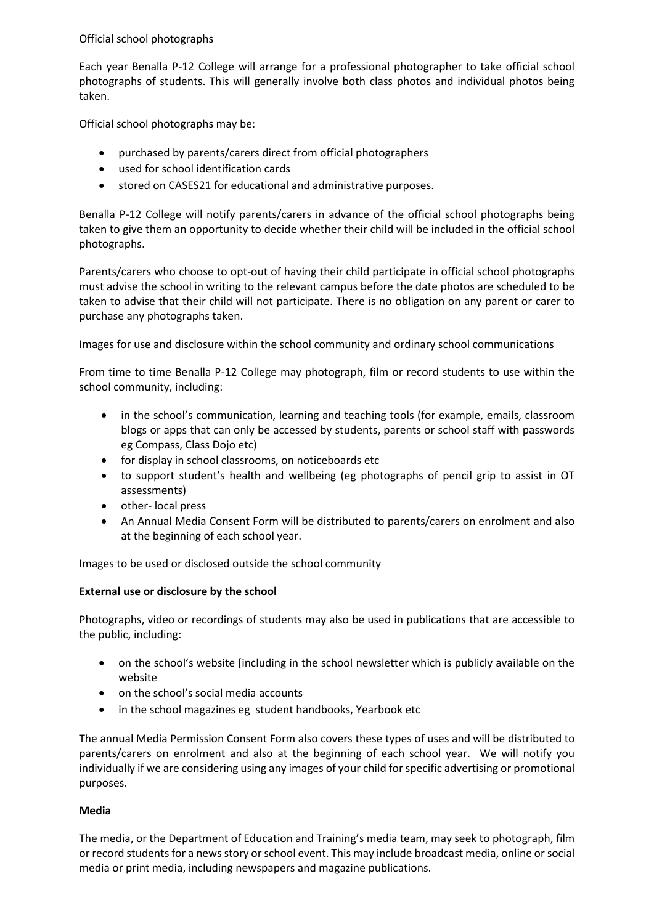Official school photographs

Each year Benalla P-12 College will arrange for a professional photographer to take official school photographs of students. This will generally involve both class photos and individual photos being taken.

Official school photographs may be:

- purchased by parents/carers direct from official photographers
- used for school identification cards
- stored on CASES21 for educational and administrative purposes.

Benalla P-12 College will notify parents/carers in advance of the official school photographs being taken to give them an opportunity to decide whether their child will be included in the official school photographs.

Parents/carers who choose to opt-out of having their child participate in official school photographs must advise the school in writing to the relevant campus before the date photos are scheduled to be taken to advise that their child will not participate. There is no obligation on any parent or carer to purchase any photographs taken.

Images for use and disclosure within the school community and ordinary school communications

From time to time Benalla P-12 College may photograph, film or record students to use within the school community, including:

- in the school's communication, learning and teaching tools (for example, emails, classroom blogs or apps that can only be accessed by students, parents or school staff with passwords eg Compass, Class Dojo etc)
- for display in school classrooms, on noticeboards etc
- to support student's health and wellbeing (eg photographs of pencil grip to assist in OT assessments)
- other- local press
- An Annual Media Consent Form will be distributed to parents/carers on enrolment and also at the beginning of each school year.

Images to be used or disclosed outside the school community

#### **External use or disclosure by the school**

Photographs, video or recordings of students may also be used in publications that are accessible to the public, including:

- on the school's website [including in the school newsletter which is publicly available on the website
- on the school's social media accounts
- in the school magazines eg student handbooks, Yearbook etc

The annual Media Permission Consent Form also covers these types of uses and will be distributed to parents/carers on enrolment and also at the beginning of each school year. We will notify you individually if we are considering using any images of your child for specific advertising or promotional purposes.

#### **Media**

The media, or the Department of Education and Training's media team, may seek to photograph, film or record students for a news story or school event. This may include broadcast media, online or social media or print media, including newspapers and magazine publications.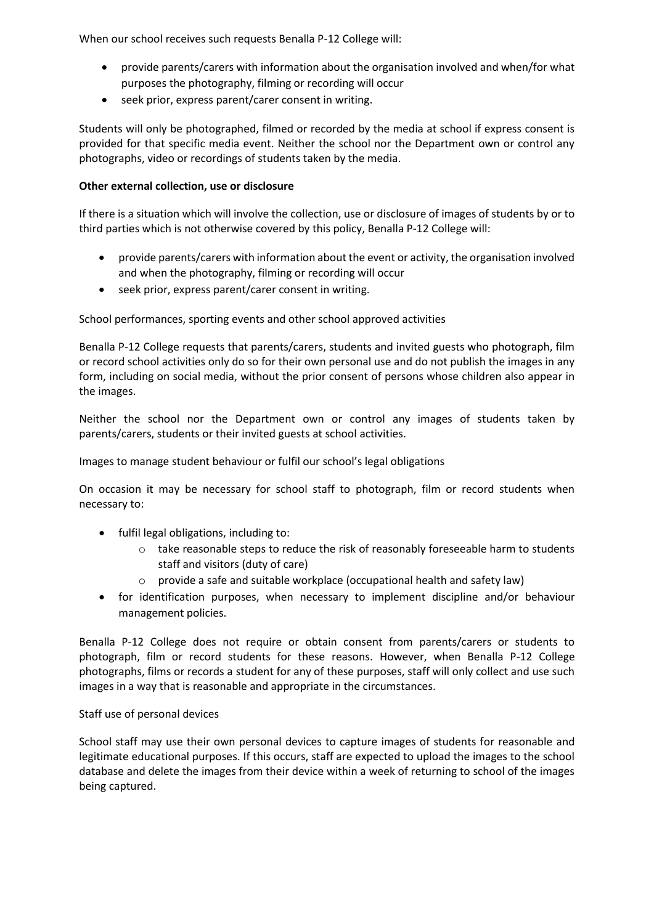When our school receives such requests Benalla P-12 College will:

- provide parents/carers with information about the organisation involved and when/for what purposes the photography, filming or recording will occur
- seek prior, express parent/carer consent in writing.

Students will only be photographed, filmed or recorded by the media at school if express consent is provided for that specific media event. Neither the school nor the Department own or control any photographs, video or recordings of students taken by the media.

# **Other external collection, use or disclosure**

If there is a situation which will involve the collection, use or disclosure of images of students by or to third parties which is not otherwise covered by this policy, Benalla P-12 College will:

- provide parents/carers with information about the event or activity, the organisation involved and when the photography, filming or recording will occur
- seek prior, express parent/carer consent in writing.

School performances, sporting events and other school approved activities

Benalla P-12 College requests that parents/carers, students and invited guests who photograph, film or record school activities only do so for their own personal use and do not publish the images in any form, including on social media, without the prior consent of persons whose children also appear in the images.

Neither the school nor the Department own or control any images of students taken by parents/carers, students or their invited guests at school activities.

Images to manage student behaviour or fulfil our school's legal obligations

On occasion it may be necessary for school staff to photograph, film or record students when necessary to:

- fulfil legal obligations, including to:
	- o take reasonable steps to reduce the risk of reasonably foreseeable harm to students staff and visitors (duty of care)
	- o provide a safe and suitable workplace (occupational health and safety law)
- for identification purposes, when necessary to implement discipline and/or behaviour management policies.

Benalla P-12 College does not require or obtain consent from parents/carers or students to photograph, film or record students for these reasons. However, when Benalla P-12 College photographs, films or records a student for any of these purposes, staff will only collect and use such images in a way that is reasonable and appropriate in the circumstances.

# Staff use of personal devices

School staff may use their own personal devices to capture images of students for reasonable and legitimate educational purposes. If this occurs, staff are expected to upload the images to the school database and delete the images from their device within a week of returning to school of the images being captured.